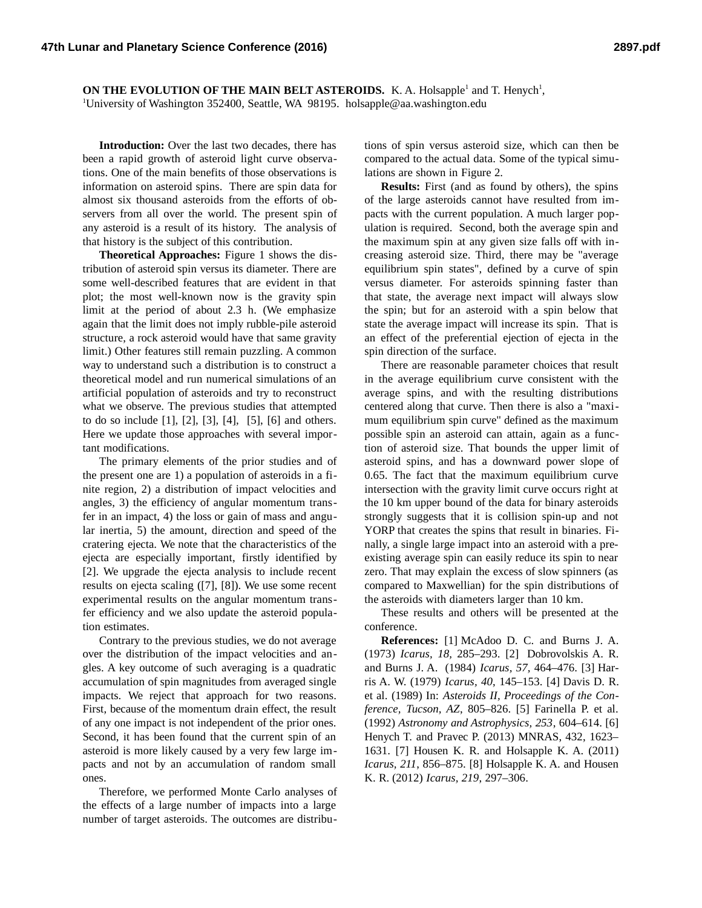**ON THE EVOLUTION OF THE MAIN BELT ASTEROIDS.** K. A. Holsapple<sup>1</sup> and T. Henych<sup>1</sup>, <sup>1</sup>University of Washington 352400, Seattle, WA 98195. holsapple@aa.washington.edu

**Introduction:** Over the last two decades, there has been a rapid growth of asteroid light curve observations. One of the main benefits of those observations is information on asteroid spins. There are spin data for almost six thousand asteroids from the efforts of observers from all over the world. The present spin of any asteroid is a result of its history. The analysis of that history is the subject of this contribution.

**Theoretical Approaches:** Figure 1 shows the distribution of asteroid spin versus its diameter. There are some well-described features that are evident in that plot; the most well-known now is the gravity spin limit at the period of about 2.3 h. (We emphasize again that the limit does not imply rubble-pile asteroid structure, a rock asteroid would have that same gravity limit.) Other features still remain puzzling. A common way to understand such a distribution is to construct a theoretical model and run numerical simulations of an artificial population of asteroids and try to reconstruct what we observe. The previous studies that attempted to do so include [1], [2], [3], [4], [5], [6] and others. Here we update those approaches with several important modifications.

The primary elements of the prior studies and of the present one are 1) a population of asteroids in a finite region, 2) a distribution of impact velocities and angles, 3) the efficiency of angular momentum transfer in an impact, 4) the loss or gain of mass and angular inertia, 5) the amount, direction and speed of the cratering ejecta. We note that the characteristics of the ejecta are especially important, firstly identified by [2]. We upgrade the ejecta analysis to include recent results on ejecta scaling ([7], [8]). We use some recent experimental results on the angular momentum transfer efficiency and we also update the asteroid population estimates.

Contrary to the previous studies, we do not average over the distribution of the impact velocities and angles. A key outcome of such averaging is a quadratic accumulation of spin magnitudes from averaged single impacts. We reject that approach for two reasons. First, because of the momentum drain effect, the result of any one impact is not independent of the prior ones. Second, it has been found that the current spin of an asteroid is more likely caused by a very few large impacts and not by an accumulation of random small ones.

Therefore, we performed Monte Carlo analyses of the effects of a large number of impacts into a large number of target asteroids. The outcomes are distributions of spin versus asteroid size, which can then be compared to the actual data. Some of the typical simulations are shown in Figure 2.

**Results:** First (and as found by others), the spins of the large asteroids cannot have resulted from impacts with the current population. A much larger population is required. Second, both the average spin and the maximum spin at any given size falls off with increasing asteroid size. Third, there may be "average equilibrium spin states", defined by a curve of spin versus diameter. For asteroids spinning faster than that state, the average next impact will always slow the spin; but for an asteroid with a spin below that state the average impact will increase its spin. That is an effect of the preferential ejection of ejecta in the spin direction of the surface.

There are reasonable parameter choices that result in the average equilibrium curve consistent with the average spins, and with the resulting distributions centered along that curve. Then there is also a "maximum equilibrium spin curve" defined as the maximum possible spin an asteroid can attain, again as a function of asteroid size. That bounds the upper limit of asteroid spins, and has a downward power slope of 0.65. The fact that the maximum equilibrium curve intersection with the gravity limit curve occurs right at the 10 km upper bound of the data for binary asteroids strongly suggests that it is collision spin-up and not YORP that creates the spins that result in binaries. Finally, a single large impact into an asteroid with a preexisting average spin can easily reduce its spin to near zero. That may explain the excess of slow spinners (as compared to Maxwellian) for the spin distributions of the asteroids with diameters larger than 10 km.

These results and others will be presented at the conference.

**References:** [1] McAdoo D. C. and Burns J. A. (1973) *Icarus, 18,* 285–293. [2] Dobrovolskis A. R. and Burns J. A. (1984) *Icarus, 57,* 464–476. [3] Harris A. W. (1979) *Icarus, 40*, 145–153. [4] Davis D. R. et al. (1989) In: *Asteroids II, Proceedings of the Conference, Tucson, AZ*, 805–826. [5] Farinella P. et al. (1992) *Astronomy and Astrophysics, 253*, 604–614. [6] Henych T. and Pravec P. (2013) MNRAS, 432, 1623– 1631. [7] Housen K. R. and Holsapple K. A. (2011) *Icarus, 211*, 856–875. [8] Holsapple K. A. and Housen K. R. (2012) *Icarus, 219*, 297–306.